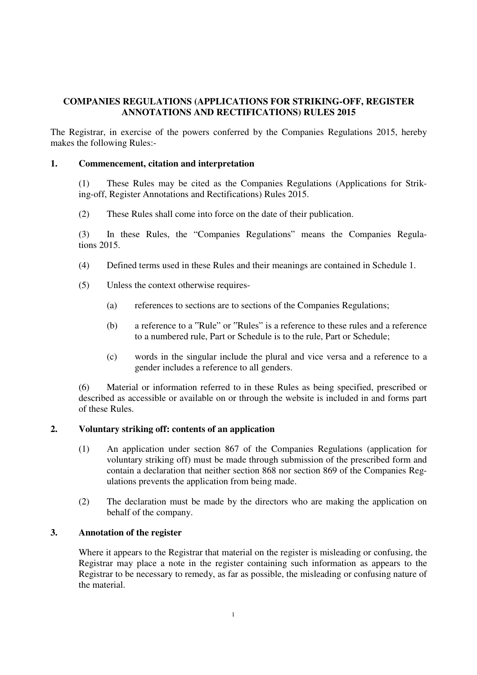# **COMPANIES REGULATIONS (APPLICATIONS FOR STRIKING-OFF, REGISTER ANNOTATIONS AND RECTIFICATIONS) RULES 2015**

The Registrar, in exercise of the powers conferred by the Companies Regulations 2015, hereby makes the following Rules:-

### **1. Commencement, citation and interpretation**

(1) These Rules may be cited as the Companies Regulations (Applications for Striking-off, Register Annotations and Rectifications) Rules 2015.

(2) These Rules shall come into force on the date of their publication.

(3) In these Rules, the "Companies Regulations" means the Companies Regulations 2015.

- (4) Defined terms used in these Rules and their meanings are contained in Schedule 1.
- (5) Unless the context otherwise requires-
	- (a) references to sections are to sections of the Companies Regulations;
	- (b) a reference to a "Rule" or "Rules" is a reference to these rules and a reference to a numbered rule, Part or Schedule is to the rule, Part or Schedule;
	- (c) words in the singular include the plural and vice versa and a reference to a gender includes a reference to all genders.

(6) Material or information referred to in these Rules as being specified, prescribed or described as accessible or available on or through the website is included in and forms part of these Rules.

## **2. Voluntary striking off: contents of an application**

- (1) An application under section 867 of the Companies Regulations (application for voluntary striking off) must be made through submission of the prescribed form and contain a declaration that neither section 868 nor section 869 of the Companies Regulations prevents the application from being made.
- (2) The declaration must be made by the directors who are making the application on behalf of the company.

#### **3. Annotation of the register**

Where it appears to the Registrar that material on the register is misleading or confusing, the Registrar may place a note in the register containing such information as appears to the Registrar to be necessary to remedy, as far as possible, the misleading or confusing nature of the material.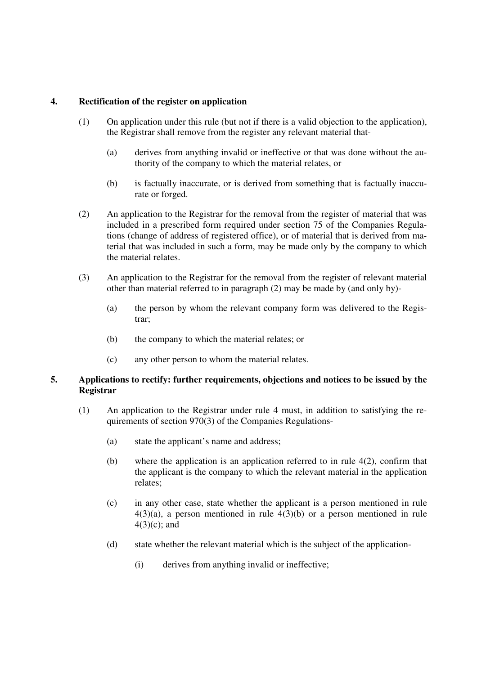### **4. Rectification of the register on application**

- (1) On application under this rule (but not if there is a valid objection to the application), the Registrar shall remove from the register any relevant material that-
	- (a) derives from anything invalid or ineffective or that was done without the authority of the company to which the material relates, or
	- (b) is factually inaccurate, or is derived from something that is factually inaccurate or forged.
- (2) An application to the Registrar for the removal from the register of material that was included in a prescribed form required under section 75 of the Companies Regulations (change of address of registered office), or of material that is derived from material that was included in such a form, may be made only by the company to which the material relates.
- (3) An application to the Registrar for the removal from the register of relevant material other than material referred to in paragraph (2) may be made by (and only by)-
	- (a) the person by whom the relevant company form was delivered to the Registrar;
	- (b) the company to which the material relates; or
	- (c) any other person to whom the material relates.

### **5. Applications to rectify: further requirements, objections and notices to be issued by the Registrar**

- (1) An application to the Registrar under rule 4 must, in addition to satisfying the requirements of section 970(3) of the Companies Regulations-
	- (a) state the applicant's name and address;
	- (b) where the application is an application referred to in rule  $4(2)$ , confirm that the applicant is the company to which the relevant material in the application relates;
	- (c) in any other case, state whether the applicant is a person mentioned in rule  $4(3)(a)$ , a person mentioned in rule  $4(3)(b)$  or a person mentioned in rule 4(3)(c); and
	- (d) state whether the relevant material which is the subject of the application-
		- (i) derives from anything invalid or ineffective;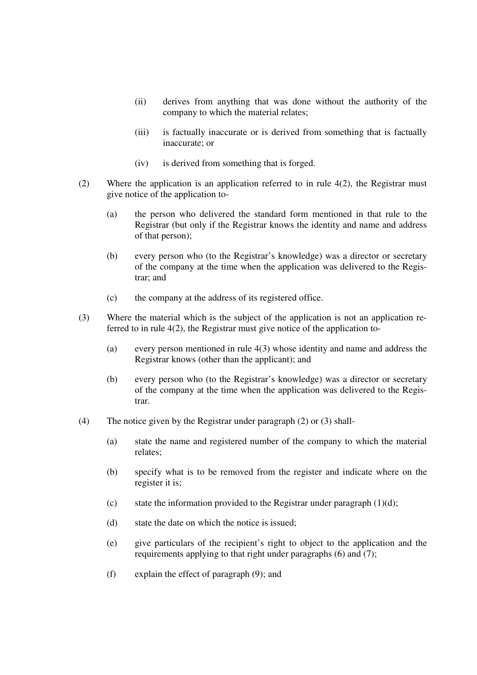- (ii) derives from anything that was done without the authority of the company to which the material relates;
- (iii) is factually inaccurate or is derived from something that is factually inaccurate; or
- (iv) is derived from something that is forged.
- (2) Where the application is an application referred to in rule 4(2), the Registrar must give notice of the application to-
	- (a) the person who delivered the standard form mentioned in that rule to the Registrar (but only if the Registrar knows the identity and name and address of that person);
	- (b) every person who (to the Registrar's knowledge) was a director or secretary of the company at the time when the application was delivered to the Registrar; and
	- (c) the company at the address of its registered office.
- (3) Where the material which is the subject of the application is not an application referred to in rule 4(2), the Registrar must give notice of the application to-
	- (a) every person mentioned in rule 4(3) whose identity and name and address the Registrar knows (other than the applicant); and
	- (b) every person who (to the Registrar's knowledge) was a director or secretary of the company at the time when the application was delivered to the Registrar.
- (4) The notice given by the Registrar under paragraph (2) or (3) shall-
	- (a) state the name and registered number of the company to which the material relates;
	- (b) specify what is to be removed from the register and indicate where on the register it is;
	- (c) state the information provided to the Registrar under paragraph  $(1)(d)$ ;
	- (d) state the date on which the notice is issued;
	- (e) give particulars of the recipient's right to object to the application and the requirements applying to that right under paragraphs (6) and (7);
	- (f) explain the effect of paragraph (9); and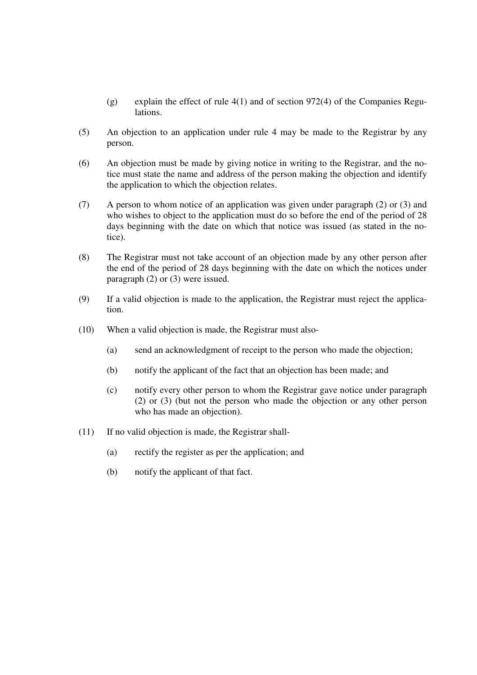- (g) explain the effect of rule 4(1) and of section 972(4) of the Companies Regulations.
- (5) An objection to an application under rule 4 may be made to the Registrar by any person.
- (6) An objection must be made by giving notice in writing to the Registrar, and the notice must state the name and address of the person making the objection and identify the application to which the objection relates.
- (7) A person to whom notice of an application was given under paragraph (2) or (3) and who wishes to object to the application must do so before the end of the period of 28 days beginning with the date on which that notice was issued (as stated in the notice).
- (8) The Registrar must not take account of an objection made by any other person after the end of the period of 28 days beginning with the date on which the notices under paragraph (2) or (3) were issued.
- (9) If a valid objection is made to the application, the Registrar must reject the application.
- (10) When a valid objection is made, the Registrar must also-
	- (a) send an acknowledgment of receipt to the person who made the objection;
	- (b) notify the applicant of the fact that an objection has been made; and
	- (c) notify every other person to whom the Registrar gave notice under paragraph (2) or (3) (but not the person who made the objection or any other person who has made an objection).
- (11) If no valid objection is made, the Registrar shall-
	- (a) rectify the register as per the application; and
	- (b) notify the applicant of that fact.